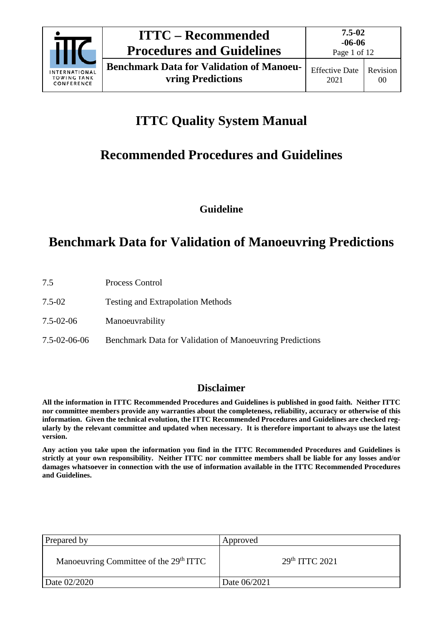

Page 1 of 12

# **ITTC Quality System Manual**

## **Recommended Procedures and Guidelines**

**Guideline**

## **Benchmark Data for Validation of Manoeuvring Predictions**

| 7.5          | Process Control                                          |
|--------------|----------------------------------------------------------|
| 7.5-02       | <b>Testing and Extrapolation Methods</b>                 |
| 7.5-02-06    | Manoeuvrability                                          |
| 7.5-02-06-06 | Benchmark Data for Validation of Manoeuvring Predictions |

### **Disclaimer**

**All the information in ITTC Recommended Procedures and Guidelines is published in good faith. Neither ITTC nor committee members provide any warranties about the completeness, reliability, accuracy or otherwise of this information. Given the technical evolution, the ITTC Recommended Procedures and Guidelines are checked regularly by the relevant committee and updated when necessary. It is therefore important to always use the latest version.**

**Any action you take upon the information you find in the ITTC Recommended Procedures and Guidelines is strictly at your own responsibility. Neither ITTC nor committee members shall be liable for any losses and/or damages whatsoever in connection with the use of information available in the ITTC Recommended Procedures and Guidelines.**

| Prepared by                                        | Approved                   |
|----------------------------------------------------|----------------------------|
| Manoeuvring Committee of the 29 <sup>th</sup> ITTC | 29 <sup>th</sup> ITTC 2021 |
| Date 02/2020                                       | Date 06/2021               |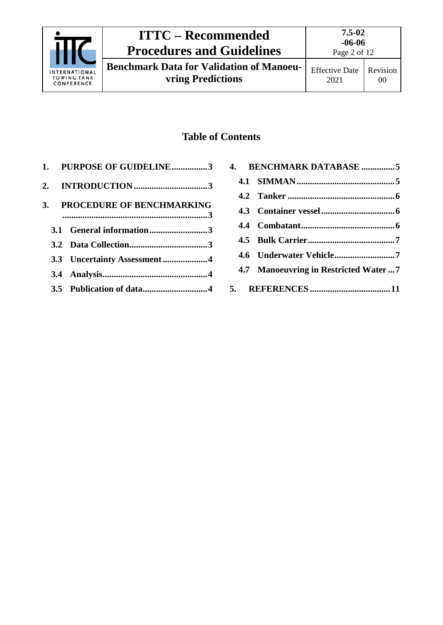

**Benchmark Data for Validation of Manoeuvring Predictions**

Page 2 of 12

### **Table of Contents**

| 1. PURPOSE OF GUIDELINE3     |  |
|------------------------------|--|
|                              |  |
| 3. PROCEDURE OF BENCHMARKING |  |
| 3.1 General information3     |  |
|                              |  |
| 3.3 Uncertainty Assessment 4 |  |
|                              |  |
|                              |  |
|                              |  |

| 4. BENCHMARK DATABASE 5              |
|--------------------------------------|
|                                      |
|                                      |
|                                      |
|                                      |
|                                      |
|                                      |
| 4.7 Manoeuvring in Restricted Water7 |
|                                      |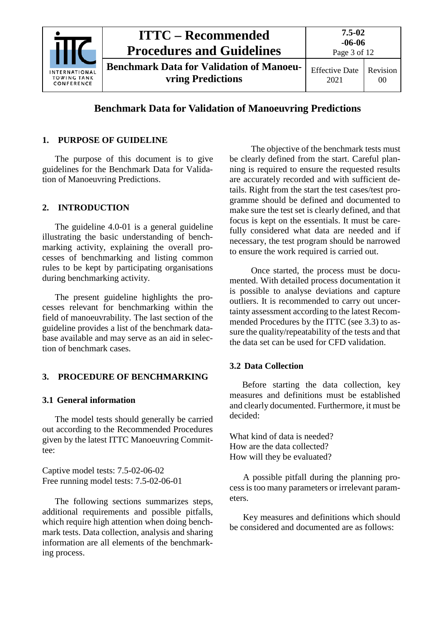

### **Benchmark Data for Validation of Manoeuvring Predictions**

#### <span id="page-2-0"></span>**1. PURPOSE OF GUIDELINE**

The purpose of this document is to give guidelines for the Benchmark Data for Validation of Manoeuvring Predictions.

#### <span id="page-2-1"></span>**2. INTRODUCTION**

The guideline 4.0-01 is a general guideline illustrating the basic understanding of benchmarking activity, explaining the overall processes of benchmarking and listing common rules to be kept by participating organisations during benchmarking activity.

The present guideline highlights the processes relevant for benchmarking within the field of manoeuvrability. The last section of the guideline provides a list of the benchmark database available and may serve as an aid in selection of benchmark cases.

#### <span id="page-2-3"></span><span id="page-2-2"></span>**3. PROCEDURE OF BENCHMARKING**

#### **3.1 General information**

The model tests should generally be carried out according to the Recommended Procedures given by the latest ITTC Manoeuvring Committee:

Captive model tests: 7.5-02-06-02 Free running model tests: 7.5-02-06-01

The following sections summarizes steps, additional requirements and possible pitfalls, which require high attention when doing benchmark tests. Data collection, analysis and sharing information are all elements of the benchmarking process.

The objective of the benchmark tests must be clearly defined from the start. Careful planning is required to ensure the requested results are accurately recorded and with sufficient details. Right from the start the test cases/test programme should be defined and documented to make sure the test set is clearly defined, and that focus is kept on the essentials. It must be carefully considered what data are needed and if necessary, the test program should be narrowed to ensure the work required is carried out.

Once started, the process must be documented. With detailed process documentation it is possible to analyse deviations and capture outliers. It is recommended to carry out uncertainty assessment according to the latest Recommended Procedures by the ITTC (see [3.3\)](#page-3-0) to assure the quality/repeatability of the tests and that the data set can be used for CFD validation.

#### <span id="page-2-4"></span>**3.2 Data Collection**

Before starting the data collection, key measures and definitions must be established and clearly documented. Furthermore, it must be decided:

What kind of data is needed? How are the data collected? How will they be evaluated?

A possible pitfall during the planning process is too many parameters or irrelevant parameters.

Key measures and definitions which should be considered and documented are as follows: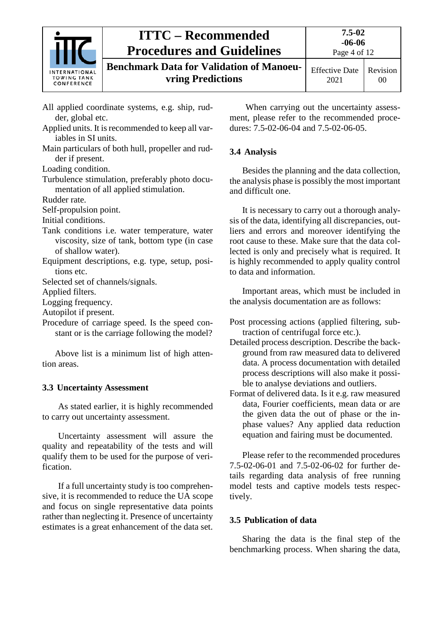

**Benchmark Data for Validation of Manoeuvring Predictions**

- All applied coordinate systems, e.g. ship, rudder, global etc.
- Applied units. It is recommended to keep all variables in SI units.
- Main particulars of both hull, propeller and rudder if present.

Loading condition.

Turbulence stimulation, preferably photo documentation of all applied stimulation.

Rudder rate.

Self-propulsion point.

Initial conditions.

- Tank conditions i.e. water temperature, water viscosity, size of tank, bottom type (in case of shallow water).
- Equipment descriptions, e.g. type, setup, positions etc.

Selected set of channels/signals.

Applied filters.

Logging frequency.

Autopilot if present.

Procedure of carriage speed. Is the speed constant or is the carriage following the model?

Above list is a minimum list of high attention areas.

### <span id="page-3-0"></span>**3.3 Uncertainty Assessment**

As stated earlier, it is highly recommended to carry out uncertainty assessment.

Uncertainty assessment will assure the quality and repeatability of the tests and will qualify them to be used for the purpose of verification.

If a full uncertainty study is too comprehensive, it is recommended to reduce the UA scope and focus on single representative data points rather than neglecting it. Presence of uncertainty estimates is a great enhancement of the data set.

When carrying out the uncertainty assessment, please refer to the recommended procedures: 7.5-02-06-04 and 7.5-02-06-05.

### <span id="page-3-1"></span>**3.4 Analysis**

Besides the planning and the data collection, the analysis phase is possibly the most important and difficult one.

It is necessary to carry out a thorough analysis of the data, identifying all discrepancies, outliers and errors and moreover identifying the root cause to these. Make sure that the data collected is only and precisely what is required. It is highly recommended to apply quality control to data and information.

Important areas, which must be included in the analysis documentation are as follows:

- Post processing actions (applied filtering, subtraction of centrifugal force etc.).
- Detailed process description. Describe the background from raw measured data to delivered data. A process documentation with detailed process descriptions will also make it possible to analyse deviations and outliers.
- Format of delivered data. Is it e.g. raw measured data, Fourier coefficients, mean data or are the given data the out of phase or the inphase values? Any applied data reduction equation and fairing must be documented.

Please refer to the recommended procedures 7.5-02-06-01 and 7.5-02-06-02 for further details regarding data analysis of free running model tests and captive models tests respectively.

### <span id="page-3-2"></span>**3.5 Publication of data**

Sharing the data is the final step of the benchmarking process. When sharing the data,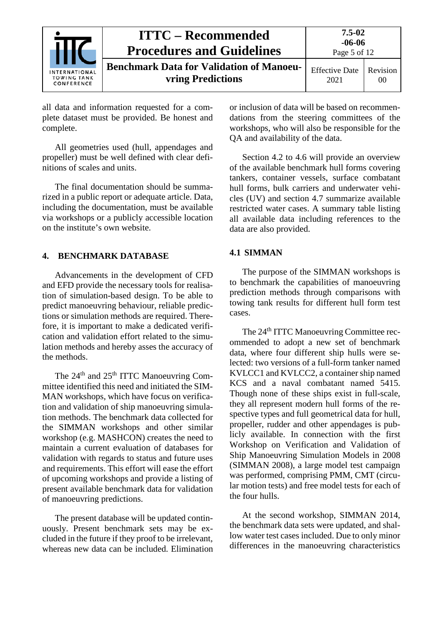|                                                   | <b>ITTC – Recommended</b><br><b>Procedures and Guidelines</b>               | 7.5-02<br>$-06-06$<br>Page 5 of 12 |                |  |
|---------------------------------------------------|-----------------------------------------------------------------------------|------------------------------------|----------------|--|
| INTERNATIONAL<br><b>TOWING TANK</b><br>CONFERENCE | <b>Benchmark Data for Validation of Manoeu-</b><br><b>vring Predictions</b> | <b>Effective Date</b><br>2021      | Revision<br>00 |  |

all data and information requested for a complete dataset must be provided. Be honest and complete.

All geometries used (hull, appendages and propeller) must be well defined with clear definitions of scales and units.

The final documentation should be summarized in a public report or adequate article. Data, including the documentation, must be available via workshops or a publicly accessible location on the institute's own website.

#### <span id="page-4-0"></span>**4. BENCHMARK DATABASE**

Advancements in the development of CFD and EFD provide the necessary tools for realisation of simulation-based design. To be able to predict manoeuvring behaviour, reliable predictions or simulation methods are required. Therefore, it is important to make a dedicated verification and validation effort related to the simulation methods and hereby asses the accuracy of the methods.

The 24<sup>th</sup> and 25<sup>th</sup> ITTC Manoeuvring Committee identified this need and initiated the SIM-MAN workshops, which have focus on verification and validation of ship manoeuvring simulation methods. The benchmark data collected for the SIMMAN workshops and other similar workshop (e.g. MASHCON) creates the need to maintain a current evaluation of databases for validation with regards to status and future uses and requirements. This effort will ease the effort of upcoming workshops and provide a listing of present available benchmark data for validation of manoeuvring predictions.

The present database will be updated continuously. Present benchmark sets may be excluded in the future if they proof to be irrelevant, whereas new data can be included. Elimination or inclusion of data will be based on recommendations from the steering committees of the workshops, who will also be responsible for the QA and availability of the data.

Section 4.2 to 4.6 will provide an overview of the available benchmark hull forms covering tankers, container vessels, surface combatant hull forms, bulk carriers and underwater vehicles (UV) and section 4.7 summarize available restricted water cases. A summary table listing all available data including references to the data are also provided.

#### <span id="page-4-1"></span>**4.1 SIMMAN**

The purpose of the SIMMAN workshops is to benchmark the capabilities of manoeuvring prediction methods through comparisons with towing tank results for different hull form test cases.

The 24<sup>th</sup> ITTC Manoeuvring Committee recommended to adopt a new set of benchmark data, where four different ship hulls were selected: two versions of a full-form tanker named KVLCC1 and KVLCC2, a container ship named KCS and a naval combatant named 5415. Though none of these ships exist in full-scale, they all represent modern hull forms of the respective types and full geometrical data for hull, propeller, rudder and other appendages is publicly available. In connection with the first Workshop on Verification and Validation of Ship Manoeuvring Simulation Models in 2008 (SIMMAN 2008), a large model test campaign was performed, comprising PMM, CMT (circular motion tests) and free model tests for each of the four hulls.

At the second workshop, SIMMAN 2014, the benchmark data sets were updated, and shallow water test cases included. Due to only minor differences in the manoeuvring characteristics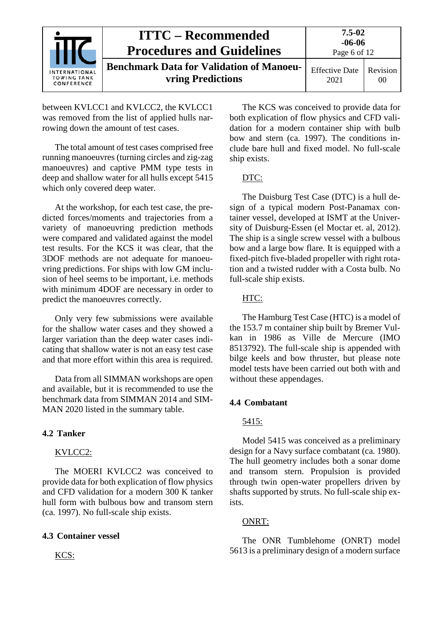|                                                          | <b>ITTC – Recommended</b><br><b>Procedures and Guidelines</b>               | 7.5-02<br>$-06-06$<br>Page 6 of 12 |                       |  |
|----------------------------------------------------------|-----------------------------------------------------------------------------|------------------------------------|-----------------------|--|
| <b>INTERNATIONAL</b><br><b>TOWING TANK</b><br>CONFERENCE | <b>Benchmark Data for Validation of Manoeu-</b><br><b>vring Predictions</b> | <b>Effective Date</b><br>2021      | <b>Revision</b><br>00 |  |

between KVLCC1 and KVLCC2, the KVLCC1 was removed from the list of applied hulls narrowing down the amount of test cases.

The total amount of test cases comprised free running manoeuvres (turning circles and zig-zag manoeuvres) and captive PMM type tests in deep and shallow water for all hulls except 5415 which only covered deep water.

At the workshop, for each test case, the predicted forces/moments and trajectories from a variety of manoeuvring prediction methods were compared and validated against the model test results. For the KCS it was clear, that the 3DOF methods are not adequate for manoeuvring predictions. For ships with low GM inclusion of heel seems to be important, i.e. methods with minimum 4DOF are necessary in order to predict the manoeuvres correctly.

Only very few submissions were available for the shallow water cases and they showed a larger variation than the deep water cases indicating that shallow water is not an easy test case and that more effort within this area is required.

Data from all SIMMAN workshops are open and available, but it is recommended to use the benchmark data from SIMMAN 2014 and SIM-MAN 2020 listed in the summary table.

#### <span id="page-5-0"></span>**4.2 Tanker**

#### KVLCC2:

The MOERI KVLCC2 was conceived to provide data for both explication of flow physics and CFD validation for a modern 300 K tanker hull form with bulbous bow and transom stern (ca. 1997). No full-scale ship exists.

#### <span id="page-5-1"></span>**4.3 Container vessel**

KCS:

The KCS was conceived to provide data for both explication of flow physics and CFD validation for a modern container ship with bulb bow and stern (ca. 1997). The conditions include bare hull and fixed model. No full-scale ship exists.

#### DTC:

The Duisburg Test Case (DTC) is a hull design of a typical modern Post-Panamax container vessel, developed at ISMT at the University of Duisburg-Essen (el Moctar et. al, 2012). The ship is a single screw vessel with a bulbous bow and a large bow flare. It is equipped with a fixed-pitch five-bladed propeller with right rotation and a twisted rudder with a Costa bulb. No full-scale ship exists.

#### HTC:

The Hamburg Test Case (HTC) is a model of the 153.7 m container ship built by Bremer Vulkan in 1986 as Ville de Mercure (IMO 8513792). The full-scale ship is appended with bilge keels and bow thruster, but please note model tests have been carried out both with and without these appendages.

#### <span id="page-5-2"></span>**4.4 Combatant**

#### 5415:

Model 5415 was conceived as a preliminary design for a Navy surface combatant (ca. 1980). The hull geometry includes both a sonar dome and transom stern. Propulsion is provided through twin open-water propellers driven by shafts supported by struts. No full-scale ship exists.

#### ONRT:

The ONR Tumblehome (ONRT) model 5613 is a preliminary design of a modern surface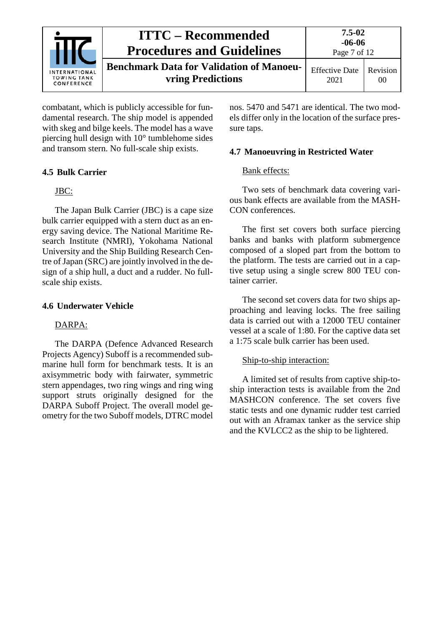

combatant, which is publicly accessible for fundamental research. The ship model is appended with skeg and bilge keels. The model has a wave piercing hull design with 10° tumblehome sides and transom stern. No full-scale ship exists.

#### <span id="page-6-0"></span>**4.5 Bulk Carrier**

#### JBC:

The Japan Bulk Carrier (JBC) is a cape size bulk carrier equipped with a stern duct as an energy saving device. The National Maritime Research Institute (NMRI), Yokohama National University and the Ship Building Research Centre of Japan (SRC) are jointly involved in the design of a ship hull, a duct and a rudder. No fullscale ship exists.

#### <span id="page-6-1"></span>**4.6 Underwater Vehicle**

#### DARPA:

The DARPA (Defence Advanced Research Projects Agency) Suboff is a recommended submarine hull form for benchmark tests. It is an axisymmetric body with fairwater, symmetric stern appendages, two ring wings and ring wing support struts originally designed for the DARPA Suboff Project. The overall model geometry for the two Suboff models, DTRC model nos. 5470 and 5471 are identical. The two models differ only in the location of the surface pressure taps.

#### <span id="page-6-2"></span>**4.7 Manoeuvring in Restricted Water**

#### Bank effects:

Two sets of benchmark data covering various bank effects are available from the MASH-CON conferences.

The first set covers both surface piercing banks and banks with platform submergence composed of a sloped part from the bottom to the platform. The tests are carried out in a captive setup using a single screw 800 TEU container carrier.

The second set covers data for two ships approaching and leaving locks. The free sailing data is carried out with a 12000 TEU container vessel at a scale of 1:80. For the captive data set a 1:75 scale bulk carrier has been used.

#### Ship-to-ship interaction:

A limited set of results from captive ship-toship interaction tests is available from the 2nd MASHCON conference. The set covers five static tests and one dynamic rudder test carried out with an Aframax tanker as the service ship and the KVLCC2 as the ship to be lightered.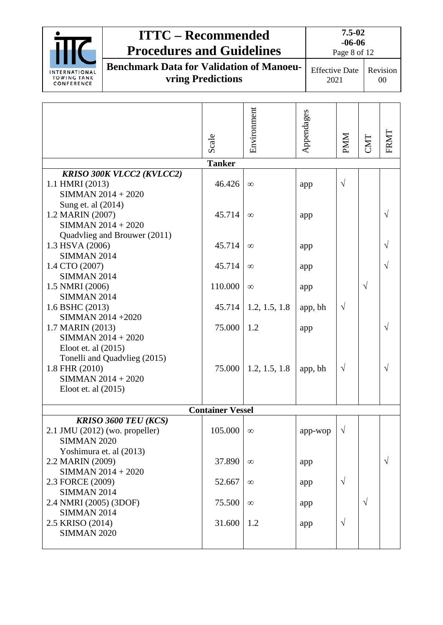|                                                                                                                                                                    | <b>ITTC - Recommended</b><br><b>Procedures and Guidelines</b>        |                         |                      |                | $7.5 - 02$<br>$-06-06$<br>Page 8 of 12 |            |                          |  |
|--------------------------------------------------------------------------------------------------------------------------------------------------------------------|----------------------------------------------------------------------|-------------------------|----------------------|----------------|----------------------------------------|------------|--------------------------|--|
| <b>INTERNATIONAL</b><br><b>TOWING TANK</b><br>CONFERENCE                                                                                                           | <b>Benchmark Data for Validation of Manoeu-</b><br>vring Predictions |                         |                      |                | <b>Effective Date</b><br>2021          |            | Revision<br>00           |  |
|                                                                                                                                                                    |                                                                      |                         |                      |                |                                        |            |                          |  |
|                                                                                                                                                                    |                                                                      | Scale                   | Environment          | Appendages     | <b>PMM</b>                             | CMT        | FRMT                     |  |
|                                                                                                                                                                    |                                                                      | <b>Tanker</b>           |                      |                |                                        |            |                          |  |
| <b>KRISO 300K VLCC2 (KVLCC2)</b><br>1.1 HMRI (2013)<br>SIMMAN 2014 + 2020<br>Sung et. al (2014)                                                                    |                                                                      | 46.426                  | $\infty$             | app            | $\sqrt{ }$                             |            |                          |  |
| 1.2 MARIN (2007)<br>SIMMAN 2014 + 2020                                                                                                                             |                                                                      | 45.714                  | $\infty$             | app            |                                        |            | $\sqrt{ }$               |  |
| 1.3 HSVA (2006)<br><b>SIMMAN 2014</b>                                                                                                                              | Quadvlieg and Brouwer (2011)                                         | 45.714                  | $\infty$             | app            |                                        |            | $\sqrt{}$                |  |
| 1.4 CTO (2007)<br><b>SIMMAN 2014</b>                                                                                                                               |                                                                      | 45.714                  | $\infty$             | app            |                                        |            | $\sqrt{ }$               |  |
| 1.5 NMRI (2006)<br><b>SIMMAN 2014</b>                                                                                                                              |                                                                      | 110.000                 | $\infty$             | app            |                                        | $\sqrt{ }$ |                          |  |
| 1.6 BSHC (2013)<br>SIMMAN 2014 +2020                                                                                                                               |                                                                      | 45.714                  | 1.2, 1.5, 1.8        | app, bh        | $\sqrt{ }$                             |            |                          |  |
| 1.7 MARIN (2013)<br>SIMMAN 2014 + 2020<br>Eloot et. al $(2015)$<br>Tonelli and Quadvlieg (2015)<br>1.8 FHR (2010)<br>SIMMAN $2014 + 2020$<br>Eloot et. al $(2015)$ |                                                                      | 75.000<br>75.000        | 1.2<br>1.2, 1.5, 1.8 | app<br>app, bh | $\sqrt{ }$                             |            | $\sqrt{ }$<br>$\sqrt{ }$ |  |
|                                                                                                                                                                    |                                                                      | <b>Container Vessel</b> |                      |                |                                        |            |                          |  |
| <b>KRISO 3600 TEU (KCS)</b><br>$2.1$ JMU $(2012)$ (wo. propeller)<br><b>SIMMAN 2020</b>                                                                            |                                                                      | 105.000                 | $\infty$             | app-wop        | $\sqrt{ }$                             |            |                          |  |
| Yoshimura et. al (2013)<br>2.2 MARIN (2009)<br>SIMMAN 2014 + 2020                                                                                                  |                                                                      | 37.890                  | $\infty$             | app            |                                        |            | $\sqrt{ }$               |  |
| 2.3 FORCE (2009)<br><b>SIMMAN 2014</b>                                                                                                                             |                                                                      | 52.667                  | $\infty$             | app            | $\sqrt{ }$                             |            |                          |  |
| 2.4 NMRI (2005) (3DOF)<br><b>SIMMAN 2014</b>                                                                                                                       |                                                                      | 75.500                  | $\infty$             | app            |                                        | $\sqrt{ }$ |                          |  |
| 2.5 KRISO (2014)<br><b>SIMMAN 2020</b>                                                                                                                             |                                                                      | 31.600                  | 1.2                  | app            | $\sqrt{ }$                             |            |                          |  |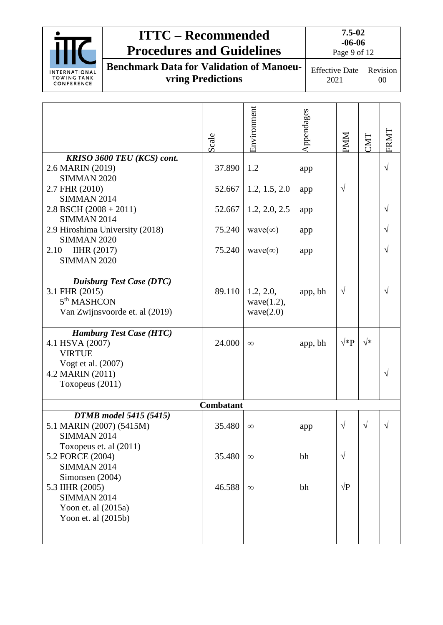|                                                                                                                                                                                                     | <b>ITTC – Recommended</b>                                                   |                                               |                                                                          |                                        | $7.5 - 02$<br>$-06 - 06$      |                 |           |                        |
|-----------------------------------------------------------------------------------------------------------------------------------------------------------------------------------------------------|-----------------------------------------------------------------------------|-----------------------------------------------|--------------------------------------------------------------------------|----------------------------------------|-------------------------------|-----------------|-----------|------------------------|
|                                                                                                                                                                                                     | <b>Procedures and Guidelines</b>                                            |                                               |                                                                          | Page 9 of 12                           |                               |                 |           |                        |
| <b>INTERNATIONAL</b><br><b>TOWING TANK</b><br>CONFERENCE                                                                                                                                            | <b>Benchmark Data for Validation of Manoeu-</b><br><b>vring Predictions</b> |                                               |                                                                          |                                        | <b>Effective Date</b><br>2021 |                 |           | Revision<br>$00\,$     |
| KRISO 3600 TEU (KCS) cont.<br>2.6 MARIN (2019)<br><b>SIMMAN 2020</b><br>2.7 FHR (2010)<br><b>SIMMAN 2014</b><br>$2.8$ BSCH $(2008 + 2011)$<br><b>SIMMAN 2014</b><br>2.9 Hiroshima University (2018) |                                                                             | Scale<br>37.890<br>52.667<br>52.667<br>75.240 | Environment<br>1.2<br>1.2, 1.5, 2.0<br>1.2, 2.0, 2.5<br>wave( $\infty$ ) | Appendages<br>app<br>app<br>app<br>app |                               | MM<br>$\sqrt{}$ | TMT       | FRMT<br>$\sqrt{}$<br>V |
| <b>SIMMAN 2020</b><br><b>IIHR (2017)</b><br>2.10<br><b>SIMMAN 2020</b>                                                                                                                              |                                                                             | 75.240                                        | wave( $\infty$ )                                                         | app                                    |                               |                 |           | $\sqrt{}$              |
| <b>Duisburg Test Case (DTC)</b><br>3.1 FHR (2015)<br>$5th$ MASHCON<br>Van Zwijnsvoorde et. al (2019)                                                                                                |                                                                             | 89.110                                        | 1.2, 2.0,<br>wave $(1.2)$ ,<br>wave(2.0)                                 |                                        | app, bh                       | $\sqrt{ }$      |           | $\sqrt{ }$             |
| <b>Hamburg Test Case (HTC)</b><br>4.1 HSVA (2007)<br><b>VIRTUE</b><br>Vogt et al. (2007)<br>4.2 MARIN (2011)<br>Toxopeus (2011)                                                                     |                                                                             | 24.000                                        | $\infty$                                                                 |                                        | app, bh                       | $\sqrt*{\rm P}$ | √*        | $\sqrt{}$              |
|                                                                                                                                                                                                     |                                                                             | Combatant                                     |                                                                          |                                        |                               |                 |           |                        |
| 5.1 MARIN (2007) (5415M)<br><b>SIMMAN 2014</b>                                                                                                                                                      | <b>DTMB</b> model 5415 (5415)                                               | 35.480                                        | $\infty$                                                                 | app                                    |                               | $\sqrt{ }$      | $\sqrt{}$ | $\sqrt{}$              |
| Toxopeus et. al (2011)<br>5.2 FORCE (2004)<br><b>SIMMAN 2014</b><br>Simonsen (2004)<br>5.3 IIHR (2005)<br><b>SIMMAN 2014</b><br>Yoon et. al $(2015a)$<br>Yoon et. al $(2015b)$                      |                                                                             | 35.480<br>46.588                              | $\infty$<br>$\infty$                                                     | bh<br>bh                               |                               | V<br>$\sqrt{P}$ |           |                        |
|                                                                                                                                                                                                     |                                                                             |                                               |                                                                          |                                        |                               |                 |           |                        |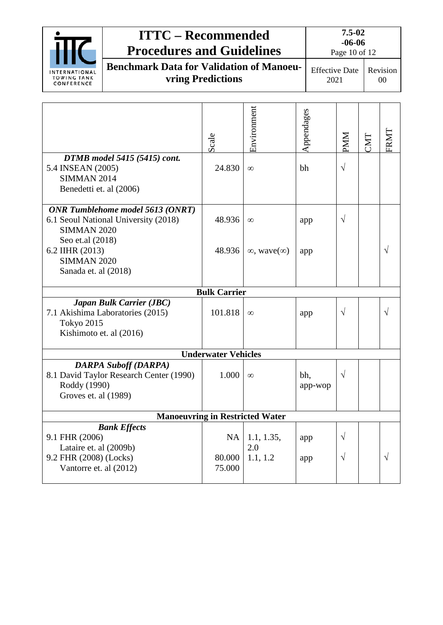|                                                                                                                                       | <b>ITTC - Recommended</b><br><b>Procedures and Guidelines</b>               |                               |                                        |                | $7.5 - 02$<br>$-06-06$<br>Page 10 of 12 |     |                |  |
|---------------------------------------------------------------------------------------------------------------------------------------|-----------------------------------------------------------------------------|-------------------------------|----------------------------------------|----------------|-----------------------------------------|-----|----------------|--|
| <b>INTERNATIONAL</b><br><b>TOWING TANK</b><br>CONFERENCE                                                                              | <b>Benchmark Data for Validation of Manoeu-</b><br><b>vring Predictions</b> |                               |                                        |                | <b>Effective Date</b><br>2021           |     | Revision<br>00 |  |
|                                                                                                                                       |                                                                             | Scale                         | Environment                            | Appendages     | MM                                      | TMT | FRMT           |  |
| DTMB model 5415 (5415) cont.<br>5.4 INSEAN (2005)<br><b>SIMMAN 2014</b><br>Benedetti et. al (2006)                                    |                                                                             | 24.830                        | $\infty$                               | bh             | $\sqrt{ }$                              |     |                |  |
| ONR Tumblehome model 5613 (ONRT)<br>6.1 Seoul National University (2018)<br><b>SIMMAN 2020</b><br>Seo et.al (2018)<br>6.2 IIHR (2013) |                                                                             | 48.936<br>48.936              | $\infty$<br>$\infty$ , wave $(\infty)$ | app<br>app     | $\sqrt{}$                               |     | V              |  |
| <b>SIMMAN 2020</b><br>Sanada et. al (2018)                                                                                            |                                                                             |                               |                                        |                |                                         |     |                |  |
|                                                                                                                                       |                                                                             | <b>Bulk Carrier</b>           |                                        |                |                                         |     |                |  |
| Tokyo 2015<br>Kishimoto et. al (2016)                                                                                                 | Japan Bulk Carrier (JBC)<br>7.1 Akishima Laboratories (2015)                | 101.818                       | $\infty$                               | app            | $\sqrt{}$                               |     | $\sqrt{}$      |  |
|                                                                                                                                       |                                                                             | <b>Underwater Vehicles</b>    |                                        |                |                                         |     |                |  |
| <b>DARPA Suboff (DARPA)</b><br>8.1 David Taylor Research Center (1990)<br>Roddy (1990)<br>Groves et. al (1989)                        |                                                                             | 1.000                         | $\infty$                               | bh,<br>app-wop | $\sqrt{ }$                              |     |                |  |
|                                                                                                                                       | <b>Manoeuvring in Restricted Water</b>                                      |                               |                                        |                |                                         |     |                |  |
| 9.1 FHR (2006)<br>Lataire et. al (2009b)<br>9.2 FHR (2008) (Locks)<br>Vantorre et. al (2012)                                          | <b>Bank Effects</b>                                                         | <b>NA</b><br>80.000<br>75.000 | 1.1, 1.35,<br>2.0<br>1.1, 1.2          | app<br>app     | V<br>V                                  |     | V              |  |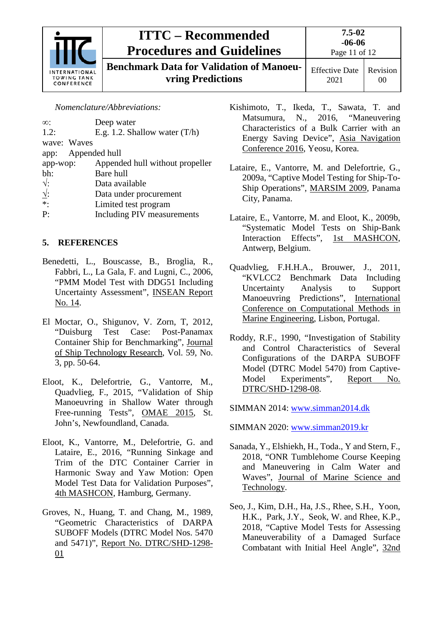

**Benchmark Data for Validation of Manoeuvring Predictions**

*Nomenclature/Abbreviations:*

| Appended hull without propeller |
|---------------------------------|
|                                 |
|                                 |
|                                 |
|                                 |
|                                 |
|                                 |

### <span id="page-10-0"></span>**5. REFERENCES**

- Benedetti, L., Bouscasse, B., Broglia, R., Fabbri, L., La Gala, F. and Lugni, C., 2006, "PMM Model Test with DDG51 Including Uncertainty Assessment", INSEAN Report No. 14.
- El Moctar, O., Shigunov, V. Zorn, T, 2012, "Duisburg Test Case: Post-Panamax Container Ship for Benchmarking", Journal of Ship Technology Research, Vol. 59, No. 3, pp. 50-64.
- Eloot, K., Delefortrie, G., Vantorre, M., Quadvlieg, F., 2015, "Validation of Ship Manoeuvring in Shallow Water through Free-running Tests", OMAE 2015, St. John's, Newfoundland, Canada.
- Eloot, K., Vantorre, M., Delefortrie, G. and Lataire, E., 2016, "Running Sinkage and Trim of the DTC Container Carrier in Harmonic Sway and Yaw Motion: Open Model Test Data for Validation Purposes", 4th MASHCON, Hamburg, Germany.
- Groves, N., Huang, T. and Chang, M., 1989, "Geometric Characteristics of DARPA SUBOFF Models (DTRC Model Nos. 5470 and 5471)", Report No. DTRC/SHD-1298- 01
- Kishimoto, T., Ikeda, T., Sawata, T. and Matsumura, N., 2016, "Maneuvering Characteristics of a Bulk Carrier with an Energy Saving Device", Asia Navigation Conference 2016, Yeosu, Korea.
- Lataire, E., Vantorre, M. and Delefortrie, G., 2009a, "Captive Model Testing for Ship-To-Ship Operations", MARSIM 2009, Panama City, Panama.
- Lataire, E., Vantorre, M. and Eloot, K., 2009b, "Systematic Model Tests on Ship-Bank Interaction Effects", 1st MASHCON, Antwerp, Belgium.
- Quadvlieg, F.H.H.A., Brouwer, J., 2011, "KVLCC2 Benchmark Data Including Uncertainty Analysis to Support Manoeuvring Predictions", International Conference on Computational Methods in Marine Engineering, Lisbon, Portugal.
- Roddy, R.F., 1990, "Investigation of Stability and Control Characteristics of Several Configurations of the DARPA SUBOFF Model (DTRC Model 5470) from Captive-Model Experiments", Report No. DTRC/SHD-1298-08.
- SIMMAN 2014: [www.simman2014.dk](http://www.simman2014.dk/)
- SIMMAN 2020: [www.simman2019.kr](http://www.simman2019.kr/)
- Sanada, Y., Elshiekh, H., Toda., Y and Stern, F., 2018, "ONR Tumblehome Course Keeping and Maneuvering in Calm Water and Waves", Journal of Marine Science and Technology.
- Seo, J., Kim, D.H., Ha, J.S., Rhee, S.H., Yoon, H.K., Park, J.Y., Seok, W. and Rhee, K.P., 2018, "Captive Model Tests for Assessing Maneuverability of a Damaged Surface Combatant with Initial Heel Angle", 32nd